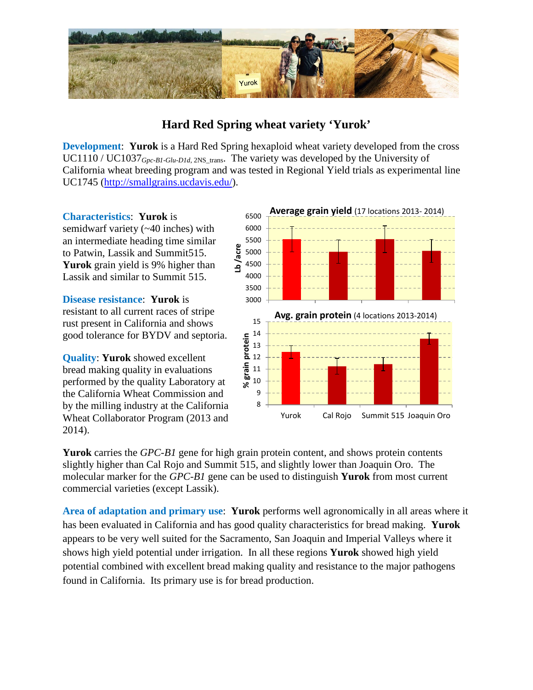

## **Hard Red Spring wheat variety 'Yurok'**

**Development**: **Yurok** is a Hard Red Spring hexaploid wheat variety developed from the cross UC1110 / UC1037<sub>Gpc-B1-Glu-D1d, 2NS\_trans. The variety was developed by the University of</sub> California wheat breeding program and was tested in Regional Yield trials as experimental line UC1745 [\(http://smallgrains.ucdavis.edu/\)](http://smallgrains.ucdavis.edu/).

**Characteristics**: **Yurok** is

semidwarf variety (~40 inches) with an intermediate heading time similar to Patwin, Lassik and Summit515. **Yurok** grain yield is 9% higher than Lassik and similar to Summit 515.

**Disease resistance**: **Yurok** is resistant to all current races of stripe rust present in California and shows good tolerance for BYDV and septoria.

**Quality**: **Yurok** showed excellent bread making quality in evaluations performed by the quality Laboratory at the California Wheat Commission and by the milling industry at the California Wheat Collaborator Program (2013 and 2014).



**Yurok** carries the *GPC-B1* gene for high grain protein content, and shows protein contents slightly higher than Cal Rojo and Summit 515, and slightly lower than Joaquin Oro. The molecular marker for the *GPC-B1* gene can be used to distinguish **Yurok** from most current commercial varieties (except Lassik).

**Area of adaptation and primary use**: **Yurok** performs well agronomically in all areas where it has been evaluated in California and has good quality characteristics for bread making. **Yurok** appears to be very well suited for the Sacramento, San Joaquin and Imperial Valleys where it shows high yield potential under irrigation. In all these regions **Yurok** showed high yield potential combined with excellent bread making quality and resistance to the major pathogens found in California. Its primary use is for bread production.